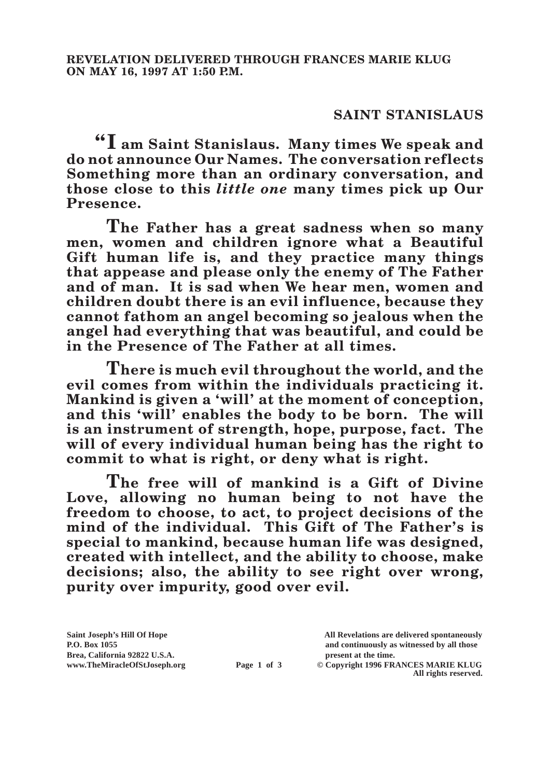## **SAINT STANISLAUS**

**"I am Saint Stanislaus. Many times We speak and do not announce Our Names. The conversation reflects Something more than an ordinary conversation, and those close to this** *little one* **many times pick up Our Presence.**

**The Father has a great sadness when so many men, women and children ignore what a Beautiful Gift human life is, and they practice many things that appease and please only the enemy of The Father and of man. It is sad when We hear men, women and children doubt there is an evil influence, because they cannot fathom an angel becoming so jealous when the angel had everything that was beautiful, and could be in the Presence of The Father at all times.**

**There is much evil throughout the world, and the evil comes from within the individuals practicing it. Mankind is given a 'will' at the moment of conception, and this 'will' enables the body to be born. The will is an instrument of strength, hope, purpose, fact. The will of every individual human being has the right to commit to what is right, or deny what is right.**

**The free will of mankind is a Gift of Divine Love, allowing no human being to not have the freedom to choose, to act, to project decisions of the mind of the individual. This Gift of The Father's is special to mankind, because human life was designed, created with intellect, and the ability to choose, make decisions; also, the ability to see right over wrong, purity over impurity, good over evil.**

**Saint Joseph's Hill Of Hope All Revelations are delivered spontaneously** Brea, California 92822 U.S.A.<br>
www.TheMiracleOfStJoseph.org<br> **Page 1 of 3** © Copyright 1996 FR.

**P.O. Box 1055 and continuously as witnessed by all those** 

**Page 1 of 3** © Copyright 1996 FRANCES MARIE KLUG **All rights reserved.**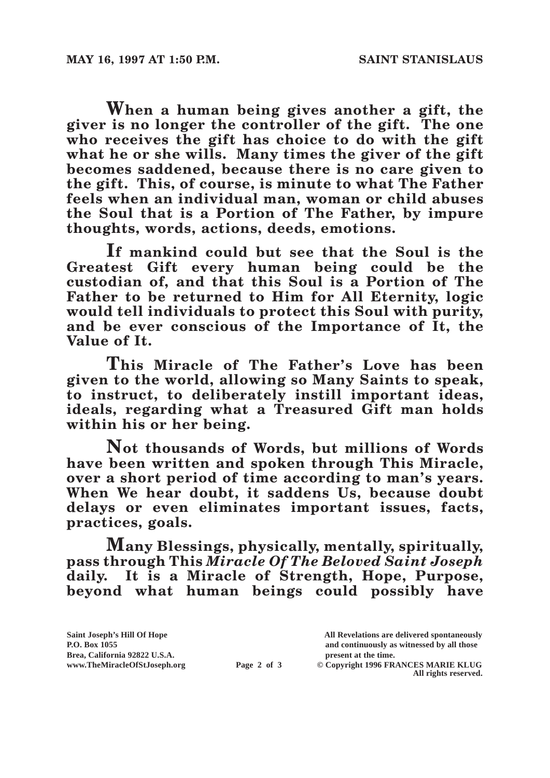**When a human being gives another a gift, the giver is no longer the controller of the gift. The one who receives the gift has choice to do with the gift what he or she wills. Many times the giver of the gift becomes saddened, because there is no care given to the gift. This, of course, is minute to what The Father feels when an individual man, woman or child abuses the Soul that is a Portion of The Father, by impure thoughts, words, actions, deeds, emotions.**

**If mankind could but see that the Soul is the Greatest Gift every human being could be the custodian of, and that this Soul is a Portion of The Father to be returned to Him for All Eternity, logic would tell individuals to protect this Soul with purity, and be ever conscious of the Importance of It, the Value of It.**

**This Miracle of The Father's Love has been given to the world, allowing so Many Saints to speak, to instruct, to deliberately instill important ideas, ideals, regarding what a Treasured Gift man holds within his or her being.**

**Not thousands of Words, but millions of Words have been written and spoken through This Miracle, over a short period of time according to man's years. When We hear doubt, it saddens Us, because doubt delays or even eliminates important issues, facts, practices, goals.**

**Many Blessings, physically, mentally, spiritually, pass through This** *Miracle Of The Beloved Saint Joseph* **daily. It is a Miracle of Strength, Hope, Purpose, beyond what human beings could possibly have** 

| Saint Joseph's Hill Of Hope   |             | All Revelations are delivered spontaneously |
|-------------------------------|-------------|---------------------------------------------|
| <b>P.O. Box 1055</b>          |             | and continuously as witnessed by all those  |
| Brea, California 92822 U.S.A. |             | present at the time.                        |
| www.TheMiracleOfStJoseph.org  | Page 2 of 3 | © Copyright 1996 FRANCES MARIE KLUG         |
|                               |             | All rights reserved.                        |